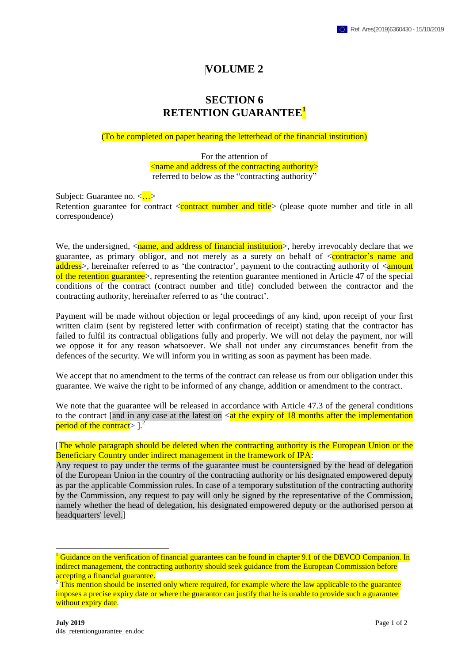## **VOLUME 2**

## **SECTION 6 RETENTION GUARANTEE<sup>1</sup>**

## (To be completed on paper bearing the letterhead of the financial institution)

For the attention of <name and address of the contracting authority> referred to below as the "contracting authority"

Subject: Guarantee no.  $\langle \cdot, \cdot \rangle$ Retention guarantee for contract  $\langle$  contract number and title $\rangle$  (please quote number and title in all correspondence)

We, the undersigned, <name, and address of financial institution>, hereby irrevocably declare that we guarantee, as primary obligor, and not merely as a surety on behalf of  $\leq$ **contractor's name and** address>, hereinafter referred to as 'the contractor', payment to the contracting authority of <amount of the retention guarantee>, representing the retention guarantee mentioned in Article 47 of the special conditions of the contract (contract number and title) concluded between the contractor and the contracting authority, hereinafter referred to as 'the contract'.

Payment will be made without objection or legal proceedings of any kind, upon receipt of your first written claim (sent by registered letter with confirmation of receipt) stating that the contractor has failed to fulfil its contractual obligations fully and properly. We will not delay the payment, nor will we oppose it for any reason whatsoever. We shall not under any circumstances benefit from the defences of the security. We will inform you in writing as soon as payment has been made.

We accept that no amendment to the terms of the contract can release us from our obligation under this guarantee. We waive the right to be informed of any change, addition or amendment to the contract.

We note that the guarantee will be released in accordance with Article 47.3 of the general conditions to the contract [and in any case at the latest on  $\lt$  at the expiry of 18 months after the implementation period of the contract  $>$   $]$ .<sup>2</sup>

[The whole paragraph should be deleted when the contracting authority is the European Union or the Beneficiary Country under indirect management in the framework of IPA:

Any request to pay under the terms of the guarantee must be countersigned by the head of delegation of the European Union in the country of the contracting authority or his designated empowered deputy as par the applicable Commission rules. In case of a temporary substitution of the contracting authority by the Commission, any request to pay will only be signed by the representative of the Commission, namely whether the head of delegation, his designated empowered deputy or the authorised person at headquarters' level.]

<u>.</u>

<sup>&</sup>lt;sup>1</sup> Guidance on the verification of financial guarantees can be found in chapter 9.1 of the DEVCO Companion. In indirect management, the contracting authority should seek guidance from the European Commission before accepting a financial guarantee.

 $2$  This mention should be inserted only where required, for example where the law applicable to the guarantee imposes a precise expiry date or where the guarantor can justify that he is unable to provide such a guarantee without expiry date.